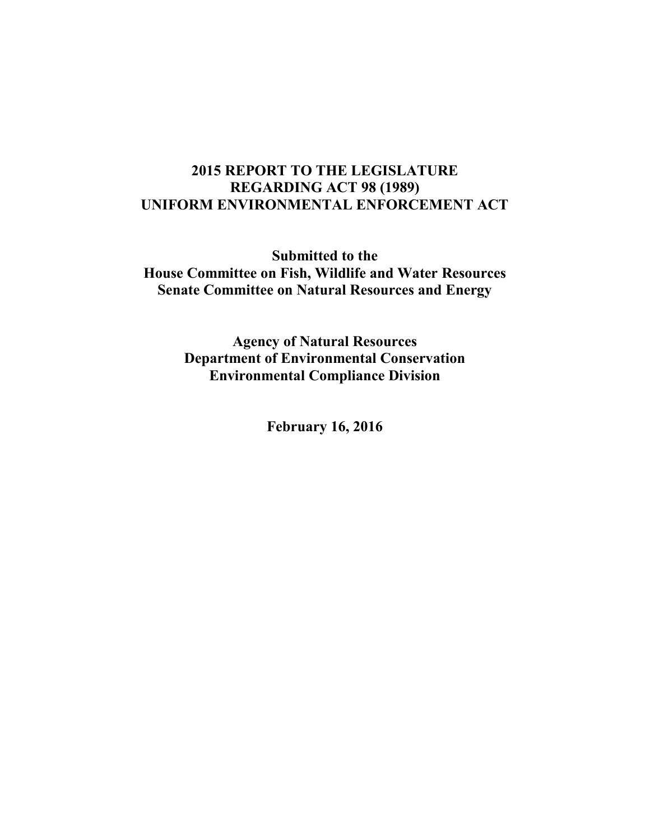# **2015 REPORT TO THE LEGISLATURE REGARDING ACT 98 (1989) UNIFORM ENVIRONMENTAL ENFORCEMENT ACT**

**Submitted to the House Committee on Fish, Wildlife and Water Resources Senate Committee on Natural Resources and Energy**

> **Agency of Natural Resources Department of Environmental Conservation Environmental Compliance Division**

> > **February 16, 2016**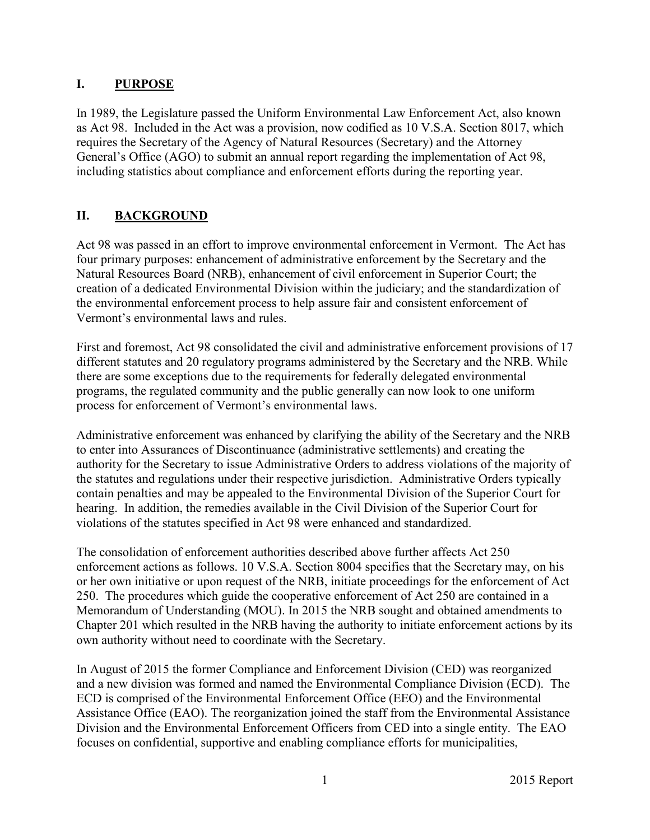## **I. PURPOSE**

In 1989, the Legislature passed the Uniform Environmental Law Enforcement Act, also known as Act 98. Included in the Act was a provision, now codified as 10 V.S.A. Section 8017, which requires the Secretary of the Agency of Natural Resources (Secretary) and the Attorney General's Office (AGO) to submit an annual report regarding the implementation of Act 98, including statistics about compliance and enforcement efforts during the reporting year.

# **II. BACKGROUND**

Act 98 was passed in an effort to improve environmental enforcement in Vermont. The Act has four primary purposes: enhancement of administrative enforcement by the Secretary and the Natural Resources Board (NRB), enhancement of civil enforcement in Superior Court; the creation of a dedicated Environmental Division within the judiciary; and the standardization of the environmental enforcement process to help assure fair and consistent enforcement of Vermont's environmental laws and rules.

First and foremost, Act 98 consolidated the civil and administrative enforcement provisions of 17 different statutes and 20 regulatory programs administered by the Secretary and the NRB. While there are some exceptions due to the requirements for federally delegated environmental programs, the regulated community and the public generally can now look to one uniform process for enforcement of Vermont's environmental laws.

Administrative enforcement was enhanced by clarifying the ability of the Secretary and the NRB to enter into Assurances of Discontinuance (administrative settlements) and creating the authority for the Secretary to issue Administrative Orders to address violations of the majority of the statutes and regulations under their respective jurisdiction. Administrative Orders typically contain penalties and may be appealed to the Environmental Division of the Superior Court for hearing. In addition, the remedies available in the Civil Division of the Superior Court for violations of the statutes specified in Act 98 were enhanced and standardized.

The consolidation of enforcement authorities described above further affects Act 250 enforcement actions as follows. 10 V.S.A. Section 8004 specifies that the Secretary may, on his or her own initiative or upon request of the NRB, initiate proceedings for the enforcement of Act 250. The procedures which guide the cooperative enforcement of Act 250 are contained in a Memorandum of Understanding (MOU). In 2015 the NRB sought and obtained amendments to Chapter 201 which resulted in the NRB having the authority to initiate enforcement actions by its own authority without need to coordinate with the Secretary.

In August of 2015 the former Compliance and Enforcement Division (CED) was reorganized and a new division was formed and named the Environmental Compliance Division (ECD). The ECD is comprised of the Environmental Enforcement Office (EEO) and the Environmental Assistance Office (EAO). The reorganization joined the staff from the Environmental Assistance Division and the Environmental Enforcement Officers from CED into a single entity. The EAO focuses on confidential, supportive and enabling compliance efforts for municipalities,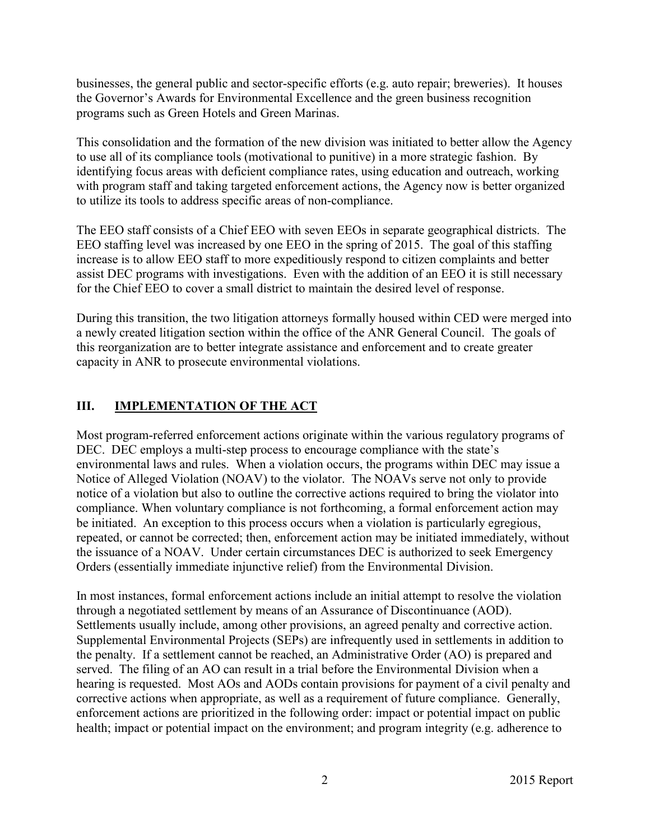businesses, the general public and sector-specific efforts (e.g. auto repair; breweries). It houses the Governor's Awards for Environmental Excellence and the green business recognition programs such as Green Hotels and Green Marinas.

This consolidation and the formation of the new division was initiated to better allow the Agency to use all of its compliance tools (motivational to punitive) in a more strategic fashion. By identifying focus areas with deficient compliance rates, using education and outreach, working with program staff and taking targeted enforcement actions, the Agency now is better organized to utilize its tools to address specific areas of non-compliance.

The EEO staff consists of a Chief EEO with seven EEOs in separate geographical districts. The EEO staffing level was increased by one EEO in the spring of 2015. The goal of this staffing increase is to allow EEO staff to more expeditiously respond to citizen complaints and better assist DEC programs with investigations. Even with the addition of an EEO it is still necessary for the Chief EEO to cover a small district to maintain the desired level of response.

During this transition, the two litigation attorneys formally housed within CED were merged into a newly created litigation section within the office of the ANR General Council. The goals of this reorganization are to better integrate assistance and enforcement and to create greater capacity in ANR to prosecute environmental violations.

# **III. IMPLEMENTATION OF THE ACT**

Most program-referred enforcement actions originate within the various regulatory programs of DEC. DEC employs a multi-step process to encourage compliance with the state's environmental laws and rules. When a violation occurs, the programs within DEC may issue a Notice of Alleged Violation (NOAV) to the violator. The NOAVs serve not only to provide notice of a violation but also to outline the corrective actions required to bring the violator into compliance. When voluntary compliance is not forthcoming, a formal enforcement action may be initiated. An exception to this process occurs when a violation is particularly egregious, repeated, or cannot be corrected; then, enforcement action may be initiated immediately, without the issuance of a NOAV. Under certain circumstances DEC is authorized to seek Emergency Orders (essentially immediate injunctive relief) from the Environmental Division.

In most instances, formal enforcement actions include an initial attempt to resolve the violation through a negotiated settlement by means of an Assurance of Discontinuance (AOD). Settlements usually include, among other provisions, an agreed penalty and corrective action. Supplemental Environmental Projects (SEPs) are infrequently used in settlements in addition to the penalty. If a settlement cannot be reached, an Administrative Order (AO) is prepared and served. The filing of an AO can result in a trial before the Environmental Division when a hearing is requested. Most AOs and AODs contain provisions for payment of a civil penalty and corrective actions when appropriate, as well as a requirement of future compliance. Generally, enforcement actions are prioritized in the following order: impact or potential impact on public health; impact or potential impact on the environment; and program integrity (e.g. adherence to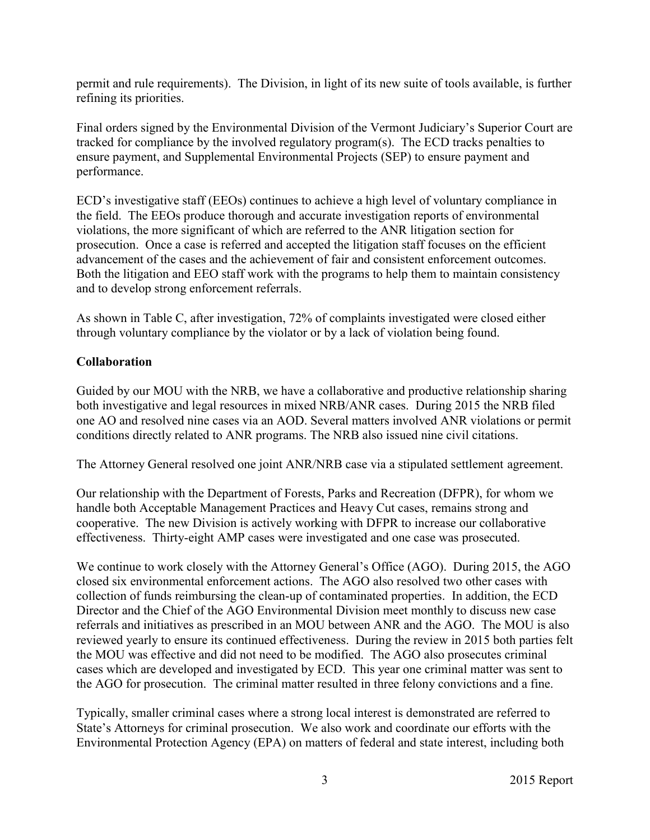permit and rule requirements). The Division, in light of its new suite of tools available, is further refining its priorities.

Final orders signed by the Environmental Division of the Vermont Judiciary's Superior Court are tracked for compliance by the involved regulatory program(s). The ECD tracks penalties to ensure payment, and Supplemental Environmental Projects (SEP) to ensure payment and performance.

ECD's investigative staff (EEOs) continues to achieve a high level of voluntary compliance in the field. The EEOs produce thorough and accurate investigation reports of environmental violations, the more significant of which are referred to the ANR litigation section for prosecution. Once a case is referred and accepted the litigation staff focuses on the efficient advancement of the cases and the achievement of fair and consistent enforcement outcomes. Both the litigation and EEO staff work with the programs to help them to maintain consistency and to develop strong enforcement referrals.

As shown in Table C, after investigation, 72% of complaints investigated were closed either through voluntary compliance by the violator or by a lack of violation being found.

## **Collaboration**

Guided by our MOU with the NRB, we have a collaborative and productive relationship sharing both investigative and legal resources in mixed NRB/ANR cases. During 2015 the NRB filed one AO and resolved nine cases via an AOD. Several matters involved ANR violations or permit conditions directly related to ANR programs. The NRB also issued nine civil citations.

The Attorney General resolved one joint ANR/NRB case via a stipulated settlement agreement.

Our relationship with the Department of Forests, Parks and Recreation (DFPR), for whom we handle both Acceptable Management Practices and Heavy Cut cases, remains strong and cooperative. The new Division is actively working with DFPR to increase our collaborative effectiveness. Thirty-eight AMP cases were investigated and one case was prosecuted.

We continue to work closely with the Attorney General's Office (AGO). During 2015, the AGO closed six environmental enforcement actions. The AGO also resolved two other cases with collection of funds reimbursing the clean-up of contaminated properties. In addition, the ECD Director and the Chief of the AGO Environmental Division meet monthly to discuss new case referrals and initiatives as prescribed in an MOU between ANR and the AGO. The MOU is also reviewed yearly to ensure its continued effectiveness. During the review in 2015 both parties felt the MOU was effective and did not need to be modified. The AGO also prosecutes criminal cases which are developed and investigated by ECD. This year one criminal matter was sent to the AGO for prosecution. The criminal matter resulted in three felony convictions and a fine.

Typically, smaller criminal cases where a strong local interest is demonstrated are referred to State's Attorneys for criminal prosecution. We also work and coordinate our efforts with the Environmental Protection Agency (EPA) on matters of federal and state interest, including both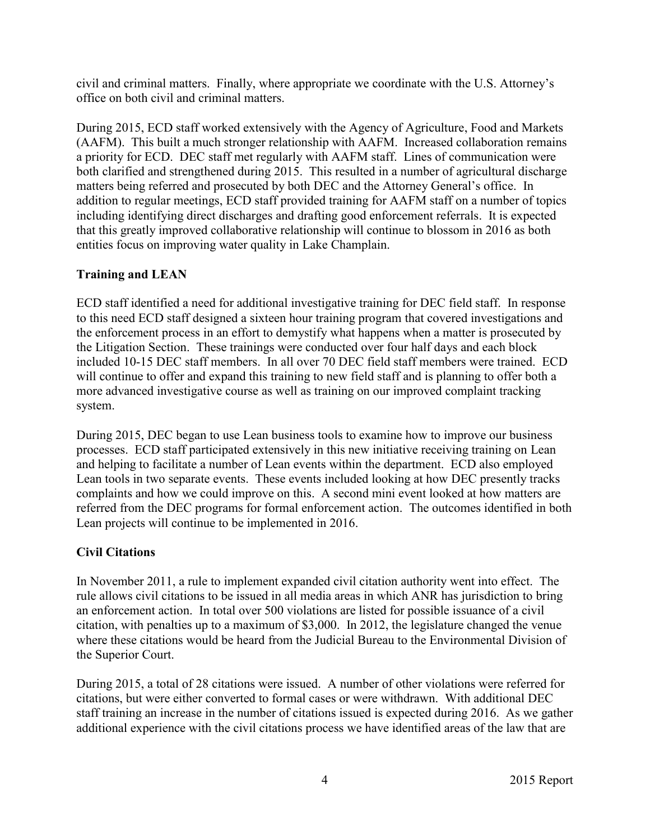civil and criminal matters. Finally, where appropriate we coordinate with the U.S. Attorney's office on both civil and criminal matters.

During 2015, ECD staff worked extensively with the Agency of Agriculture, Food and Markets (AAFM). This built a much stronger relationship with AAFM. Increased collaboration remains a priority for ECD. DEC staff met regularly with AAFM staff. Lines of communication were both clarified and strengthened during 2015. This resulted in a number of agricultural discharge matters being referred and prosecuted by both DEC and the Attorney General's office. In addition to regular meetings, ECD staff provided training for AAFM staff on a number of topics including identifying direct discharges and drafting good enforcement referrals. It is expected that this greatly improved collaborative relationship will continue to blossom in 2016 as both entities focus on improving water quality in Lake Champlain.

## **Training and LEAN**

ECD staff identified a need for additional investigative training for DEC field staff. In response to this need ECD staff designed a sixteen hour training program that covered investigations and the enforcement process in an effort to demystify what happens when a matter is prosecuted by the Litigation Section. These trainings were conducted over four half days and each block included 10-15 DEC staff members. In all over 70 DEC field staff members were trained. ECD will continue to offer and expand this training to new field staff and is planning to offer both a more advanced investigative course as well as training on our improved complaint tracking system.

During 2015, DEC began to use Lean business tools to examine how to improve our business processes. ECD staff participated extensively in this new initiative receiving training on Lean and helping to facilitate a number of Lean events within the department. ECD also employed Lean tools in two separate events. These events included looking at how DEC presently tracks complaints and how we could improve on this. A second mini event looked at how matters are referred from the DEC programs for formal enforcement action. The outcomes identified in both Lean projects will continue to be implemented in 2016.

## **Civil Citations**

In November 2011, a rule to implement expanded civil citation authority went into effect. The rule allows civil citations to be issued in all media areas in which ANR has jurisdiction to bring an enforcement action. In total over 500 violations are listed for possible issuance of a civil citation, with penalties up to a maximum of \$3,000. In 2012, the legislature changed the venue where these citations would be heard from the Judicial Bureau to the Environmental Division of the Superior Court.

During 2015, a total of 28 citations were issued. A number of other violations were referred for citations, but were either converted to formal cases or were withdrawn. With additional DEC staff training an increase in the number of citations issued is expected during 2016. As we gather additional experience with the civil citations process we have identified areas of the law that are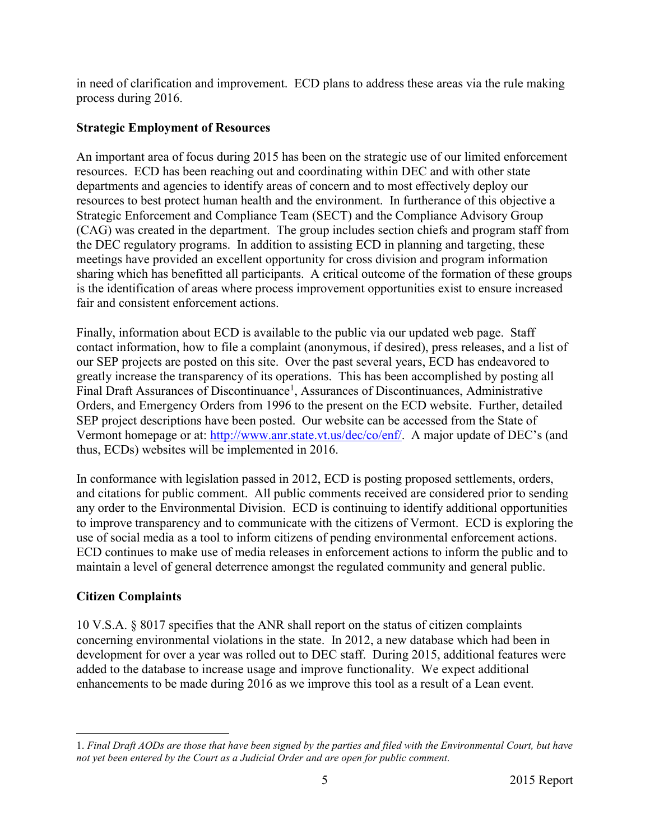in need of clarification and improvement. ECD plans to address these areas via the rule making process during 2016.

#### **Strategic Employment of Resources**

An important area of focus during 2015 has been on the strategic use of our limited enforcement resources. ECD has been reaching out and coordinating within DEC and with other state departments and agencies to identify areas of concern and to most effectively deploy our resources to best protect human health and the environment. In furtherance of this objective a Strategic Enforcement and Compliance Team (SECT) and the Compliance Advisory Group (CAG) was created in the department. The group includes section chiefs and program staff from the DEC regulatory programs. In addition to assisting ECD in planning and targeting, these meetings have provided an excellent opportunity for cross division and program information sharing which has benefitted all participants. A critical outcome of the formation of these groups is the identification of areas where process improvement opportunities exist to ensure increased fair and consistent enforcement actions.

Finally, information about ECD is available to the public via our updated web page. Staff contact information, how to file a complaint (anonymous, if desired), press releases, and a list of our SEP projects are posted on this site. Over the past several years, ECD has endeavored to greatly increase the transparency of its operations. This has been accomplished by posting all Final Draft Assurances of Discontinuance<sup>1</sup>, Assurances of Discontinuances, Administrative Orders, and Emergency Orders from 1996 to the present on the ECD website. Further, detailed SEP project descriptions have been posted. Our website can be accessed from the State of Vermont homepage or at: [http://www.anr.state.vt.us/dec/co/enf/.](http://www.anr.state.vt.us/dec/co/enf/) A major update of DEC's (and thus, ECDs) websites will be implemented in 2016.

In conformance with legislation passed in 2012, ECD is posting proposed settlements, orders, and citations for public comment. All public comments received are considered prior to sending any order to the Environmental Division. ECD is continuing to identify additional opportunities to improve transparency and to communicate with the citizens of Vermont. ECD is exploring the use of social media as a tool to inform citizens of pending environmental enforcement actions. ECD continues to make use of media releases in enforcement actions to inform the public and to maintain a level of general deterrence amongst the regulated community and general public.

#### **Citizen Complaints**

 $\overline{a}$ 

10 V.S.A. § 8017 specifies that the ANR shall report on the status of citizen complaints concerning environmental violations in the state. In 2012, a new database which had been in development for over a year was rolled out to DEC staff. During 2015, additional features were added to the database to increase usage and improve functionality. We expect additional enhancements to be made during 2016 as we improve this tool as a result of a Lean event.

<sup>1.</sup> *Final Draft AODs are those that have been signed by the parties and filed with the Environmental Court, but have not yet been entered by the Court as a Judicial Order and are open for public comment.*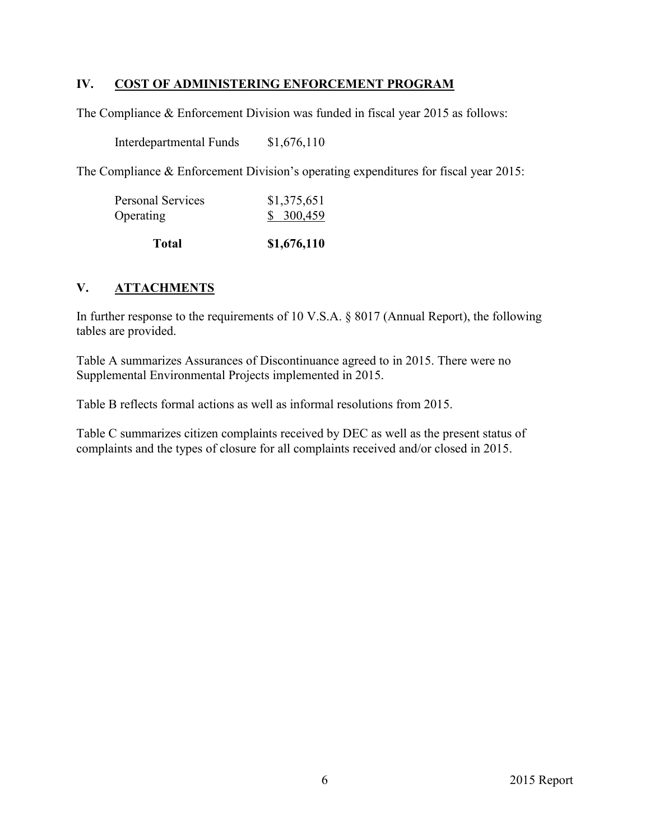#### **IV. COST OF ADMINISTERING ENFORCEMENT PROGRAM**

The Compliance & Enforcement Division was funded in fiscal year 2015 as follows:

Interdepartmental Funds \$1,676,110

The Compliance & Enforcement Division's operating expenditures for fiscal year 2015:

| <b>Total</b>                          | \$1,676,110              |
|---------------------------------------|--------------------------|
| <b>Personal Services</b><br>Operating | \$1,375,651<br>\$300,459 |
|                                       |                          |

## **V. ATTACHMENTS**

In further response to the requirements of 10 V.S.A. § 8017 (Annual Report), the following tables are provided.

Table A summarizes Assurances of Discontinuance agreed to in 2015. There were no Supplemental Environmental Projects implemented in 2015.

Table B reflects formal actions as well as informal resolutions from 2015.

Table C summarizes citizen complaints received by DEC as well as the present status of complaints and the types of closure for all complaints received and/or closed in 2015.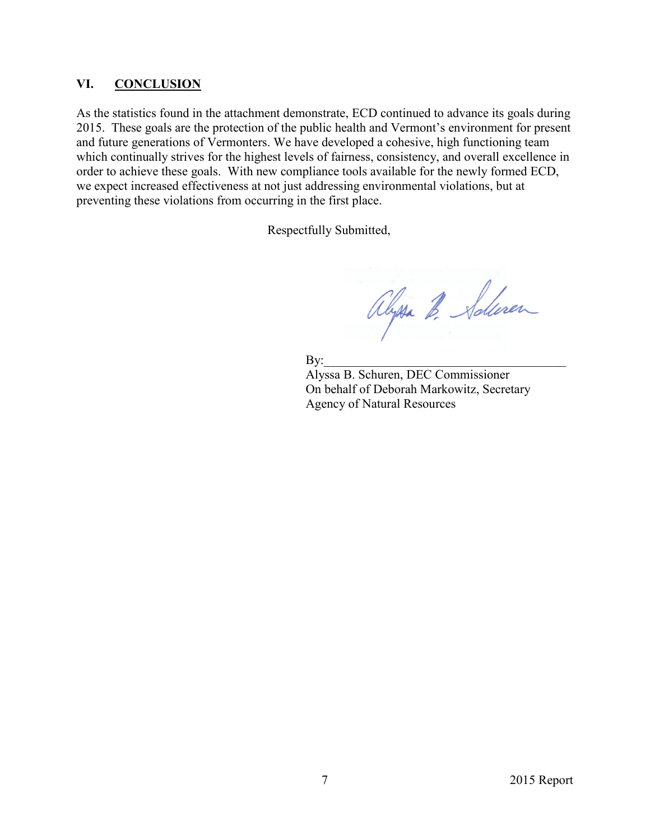#### **VI. CONCLUSION**

As the statistics found in the attachment demonstrate, ECD continued to advance its goals during 2015. These goals are the protection of the public health and Vermont's environment for present and future generations of Vermonters. We have developed a cohesive, high functioning team which continually strives for the highest levels of fairness, consistency, and overall excellence in order to achieve these goals. With new compliance tools available for the newly formed ECD, we expect increased effectiveness at not just addressing environmental violations, but at preventing these violations from occurring in the first place.

Respectfully Submitted,

Alyssa B. Solven

 $\mathbf{By:}$ 

Alyssa B. Schuren, DEC Commissioner On behalf of Deborah Markowitz, Secretary Agency of Natural Resources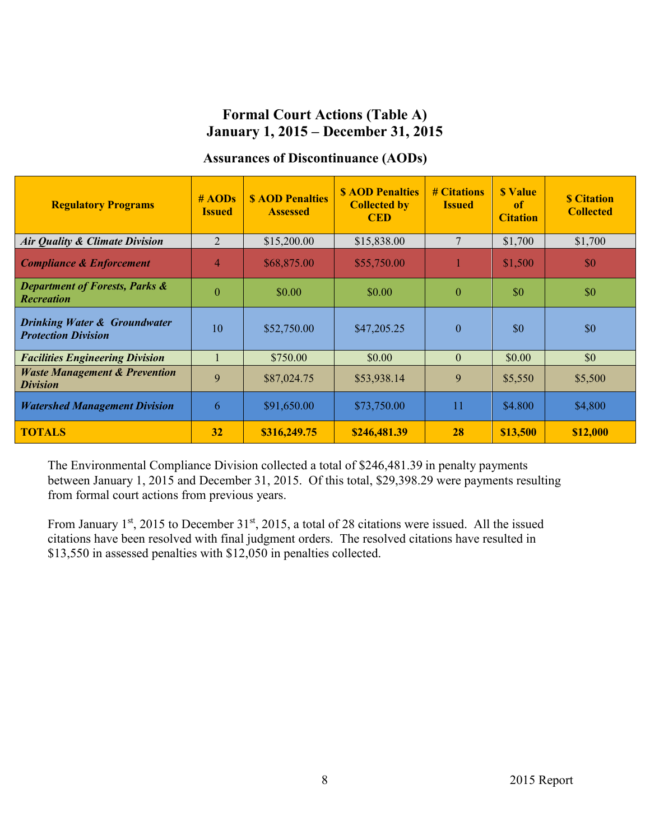# **Formal Court Actions (Table A) January 1, 2015 – December 31, 2015**

#### **Assurances of Discontinuance (AODs)**

| <b>Regulatory Programs</b>                                            | # AODs<br><b>Issued</b> | <b>SAOD Penalties</b><br><b>Assessed</b> | <b>S AOD Penalties</b><br><b>Collected by</b><br><b>CED</b> | # Citations<br><b>Issued</b> | <b>S</b> Value<br><sup>of</sup><br><b>Citation</b> | <b>S</b> Citation<br><b>Collected</b> |
|-----------------------------------------------------------------------|-------------------------|------------------------------------------|-------------------------------------------------------------|------------------------------|----------------------------------------------------|---------------------------------------|
| <b>Air Quality &amp; Climate Division</b>                             | $\overline{2}$          | \$15,200.00                              | \$15,838.00                                                 |                              | \$1,700                                            | \$1,700                               |
| <b>Compliance &amp; Enforcement</b>                                   | $\overline{4}$          | \$68,875.00                              | \$55,750.00                                                 |                              | \$1,500                                            | \$0                                   |
| <b>Department of Forests, Parks &amp;</b><br><b>Recreation</b>        | $\overline{0}$          | \$0.00                                   | \$0.00                                                      | $\Omega$                     | \$0                                                | \$0                                   |
| <b>Drinking Water &amp; Groundwater</b><br><b>Protection Division</b> | 10                      | \$52,750.00                              | \$47,205.25                                                 | $\theta$                     | \$0                                                | \$0                                   |
| <b>Facilities Engineering Division</b>                                |                         | \$750.00                                 | \$0.00                                                      | $\theta$                     | \$0.00                                             | \$0                                   |
| <b>Waste Management &amp; Prevention</b><br><i>Division</i>           | 9                       | \$87,024.75                              | \$53,938.14                                                 | 9                            | \$5,550                                            | \$5,500                               |
| <b>Watershed Management Division</b>                                  | 6                       | \$91,650.00                              | \$73,750.00                                                 | 11                           | \$4.800                                            | \$4,800                               |
| <b>TOTALS</b>                                                         | 32                      | \$316,249.75                             | \$246,481.39                                                | 28                           | \$13,500                                           | \$12,000                              |

The Environmental Compliance Division collected a total of \$246,481.39 in penalty payments between January 1, 2015 and December 31, 2015. Of this total, \$29,398.29 were payments resulting from formal court actions from previous years.

From January  $1^{st}$ , 2015 to December  $31^{st}$ , 2015, a total of 28 citations were issued. All the issued citations have been resolved with final judgment orders. The resolved citations have resulted in \$13,550 in assessed penalties with \$12,050 in penalties collected.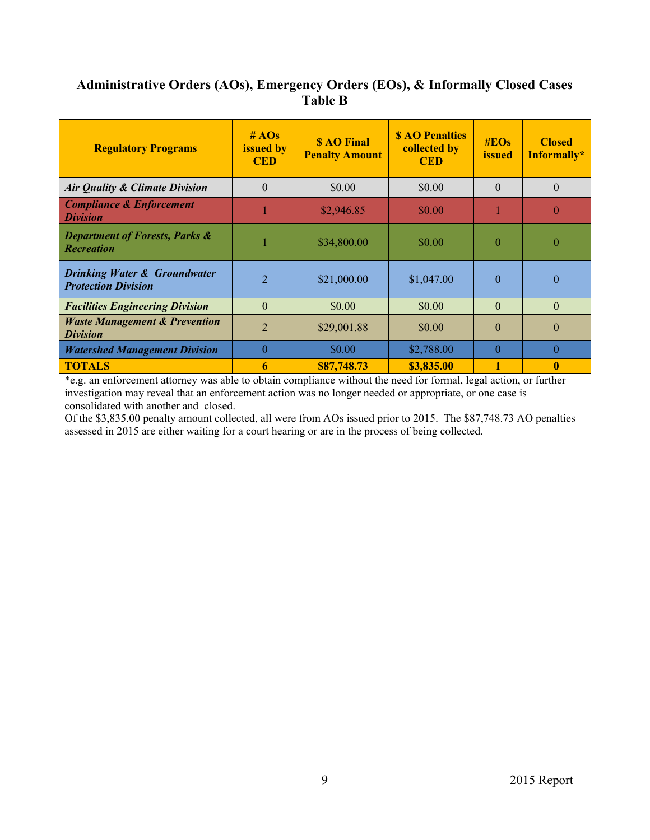# **Administrative Orders (AOs), Emergency Orders (EOs), & Informally Closed Cases Table B**

| <b>Regulatory Programs</b>                                            | #AOs<br>issued by<br><b>CED</b> | <b>S AO Final</b><br><b>Penalty Amount</b> | <b>S AO Penalties</b><br>collected by<br><b>CED</b> | $\#EOS$<br><b>issued</b> | <b>Closed</b><br>Informally* |
|-----------------------------------------------------------------------|---------------------------------|--------------------------------------------|-----------------------------------------------------|--------------------------|------------------------------|
| <b>Air Quality &amp; Climate Division</b>                             | $\Omega$                        | \$0.00                                     | \$0.00                                              | $\Omega$                 | $\theta$                     |
| <b>Compliance &amp; Enforcement</b><br><b>Division</b>                |                                 | \$2,946.85                                 | \$0.00                                              |                          | $\theta$                     |
| <b>Department of Forests, Parks &amp;</b><br><b>Recreation</b>        |                                 | \$34,800.00                                | \$0.00                                              | $\Omega$                 | $\Omega$                     |
| <b>Drinking Water &amp; Groundwater</b><br><b>Protection Division</b> | $\overline{2}$                  | \$21,000.00                                | \$1,047.00                                          | $\Omega$                 | $\Omega$                     |
| <b>Facilities Engineering Division</b>                                | $\Omega$                        | \$0.00                                     | \$0.00                                              | $\Omega$                 | $\Omega$                     |
| <b>Waste Management &amp; Prevention</b><br><b>Division</b>           | $\overline{2}$                  | \$29,001.88                                | \$0.00                                              | $\Omega$                 | $\Omega$                     |
| <b>Watershed Management Division</b>                                  | $\Omega$                        | \$0.00                                     | \$2,788.00                                          | $\Omega$                 | $\Omega$                     |
| <b>TOTALS</b>                                                         | 6                               | \$87,748.73                                | \$3,835.00                                          |                          | $\mathbf{0}$                 |

\*e.g. an enforcement attorney was able to obtain compliance without the need for formal, legal action, or further investigation may reveal that an enforcement action was no longer needed or appropriate, or one case is consolidated with another and closed.

Of the \$3,835.00 penalty amount collected, all were from AOs issued prior to 2015. The \$87,748.73 AO penalties assessed in 2015 are either waiting for a court hearing or are in the process of being collected.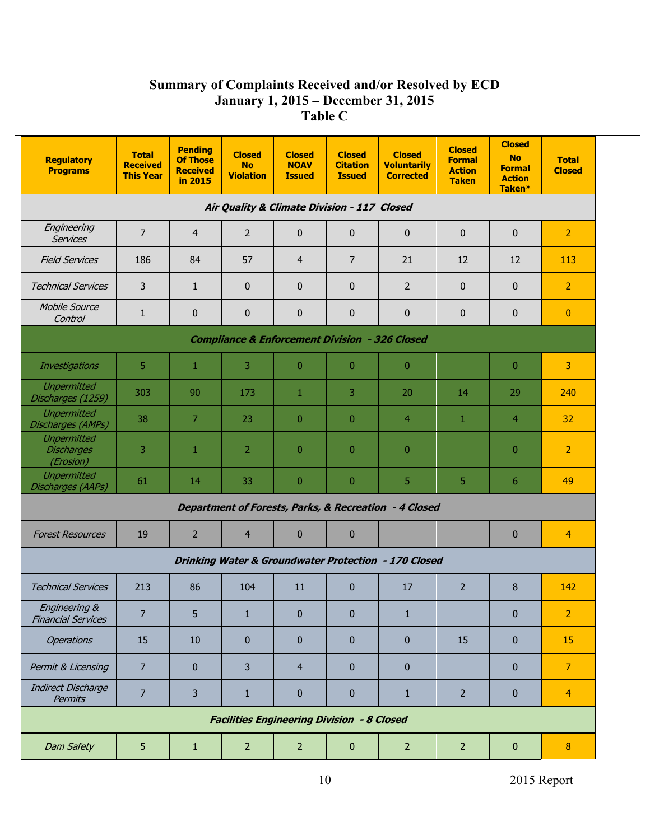# **Summary of Complaints Received and/or Resolved by ECD January 1, 2015 – December 31, 2015 Table C**

| <b>Regulatory</b><br><b>Programs</b>                      | <b>Total</b><br><b>Received</b><br><b>This Year</b> | <b>Pending</b><br><b>Of Those</b><br><b>Received</b><br>in 2015 | <b>Closed</b><br><b>No</b><br><b>Violation</b> | <b>Closed</b><br><b>NOAV</b><br><b>Issued</b> | <b>Closed</b><br><b>Citation</b><br><b>Issued</b> | <b>Closed</b><br><b>Voluntarily</b><br><b>Corrected</b> | <b>Closed</b><br><b>Formal</b><br><b>Action</b><br><b>Taken</b> | <b>Closed</b><br><b>No</b><br><b>Formal</b><br><b>Action</b><br>Taken* | <b>Total</b><br><b>Closed</b> |
|-----------------------------------------------------------|-----------------------------------------------------|-----------------------------------------------------------------|------------------------------------------------|-----------------------------------------------|---------------------------------------------------|---------------------------------------------------------|-----------------------------------------------------------------|------------------------------------------------------------------------|-------------------------------|
| Air Quality & Climate Division - 117 Closed               |                                                     |                                                                 |                                                |                                               |                                                   |                                                         |                                                                 |                                                                        |                               |
| Engineering<br><b>Services</b>                            | $\overline{7}$                                      | $\overline{4}$                                                  | 2                                              | $\bf{0}$                                      | $\mathbf{0}$                                      | $\mathbf 0$                                             | $\mathbf{0}$                                                    | 0                                                                      | $\overline{2}$                |
| <b>Field Services</b>                                     | 186                                                 | 84                                                              | 57                                             | $\overline{4}$                                | 7                                                 | 21                                                      | 12                                                              | 12                                                                     | 113                           |
| <b>Technical Services</b>                                 | 3                                                   | $\mathbf{1}$                                                    | $\mathbf{0}$                                   | $\bf{0}$                                      | $\mathbf{0}$                                      | $\overline{2}$                                          | $\mathbf{0}$                                                    | 0                                                                      | $\overline{2}$                |
| Mobile Source<br>Control                                  | $\mathbf{1}$                                        | $\pmb{0}$                                                       | $\bf{0}$                                       | $\bf{0}$                                      | $\bf{0}$                                          | $\pmb{0}$                                               | 0                                                               | 0                                                                      | $\mathbf{0}$                  |
| <b>Compliance &amp; Enforcement Division - 326 Closed</b> |                                                     |                                                                 |                                                |                                               |                                                   |                                                         |                                                                 |                                                                        |                               |
| Investigations                                            | 5                                                   | 1                                                               | 3                                              | $\overline{0}$                                | $\mathbf{0}$                                      | $\overline{0}$                                          |                                                                 | $\overline{0}$                                                         | 3                             |
| <b>Unpermitted</b><br>Discharges (1259)                   | 303                                                 | 90                                                              | 173                                            | 1                                             | 3                                                 | 20                                                      | 14                                                              | 29                                                                     | 240                           |
| <b>Unpermitted</b><br>Discharges (AMPs)                   | 38                                                  | 7                                                               | 23                                             | $\overline{0}$                                | $\overline{0}$                                    | $\overline{4}$                                          | 1                                                               | $\overline{4}$                                                         | 32                            |
| <b>Unpermitted</b><br><b>Discharges</b><br>(Erosion)      | 3                                                   | $\mathbf{1}$                                                    | 2                                              | $\mathbf{0}$                                  | $\overline{0}$                                    | $\overline{0}$                                          |                                                                 | $\mathbf{0}$                                                           | $\overline{2}$                |
| <b>Unpermitted</b><br>Discharges (AAPs)                   | 61                                                  | 14                                                              | 33                                             | $\overline{0}$                                | $\overline{0}$                                    | 5                                                       | 5.                                                              | 6                                                                      | 49                            |
|                                                           |                                                     |                                                                 |                                                |                                               |                                                   | Department of Forests, Parks, & Recreation - 4 Closed   |                                                                 |                                                                        |                               |
| <b>Forest Resources</b>                                   | 19                                                  | 2                                                               | 4                                              | $\bf{0}$                                      | $\pmb{0}$                                         |                                                         |                                                                 | $\bf{0}$                                                               | $\overline{4}$                |
|                                                           |                                                     |                                                                 |                                                |                                               |                                                   | Drinking Water & Groundwater Protection - 170 Closed    |                                                                 |                                                                        |                               |
| <b>Technical Services</b>                                 | 213                                                 | 86                                                              | 104                                            | 11                                            | $\bf{0}$                                          | 17                                                      | $\overline{2}$                                                  | 8                                                                      | 142                           |
| Engineering &<br><b>Financial Services</b>                | $\overline{7}$                                      | 5                                                               | $\mathbf{1}$                                   | $\bf{0}$                                      | $\mathbf{0}$                                      | $\mathbf{1}$                                            |                                                                 | $\bf{0}$                                                               | $\overline{2}$                |
| <b>Operations</b>                                         | 15                                                  | 10                                                              | $\mathbf{0}$                                   | $\bf{0}$                                      | $\mathbf{0}$                                      | $\mathbf{0}$                                            | 15                                                              | $\bf{0}$                                                               | 15                            |
| Permit & Licensing                                        | $\overline{7}$                                      | $\mathbf{0}$                                                    | 3                                              | $\overline{4}$                                | $\mathbf{0}$                                      | $\mathbf{0}$                                            |                                                                 | $\mathbf{0}$                                                           | $\overline{7}$                |
| <b>Indirect Discharge</b><br>Permits                      | $\overline{7}$                                      | 3                                                               | $\mathbf{1}$                                   | $\pmb{0}$                                     | $\bf{0}$                                          | $\mathbf{1}$                                            | $\overline{2}$                                                  | $\bf{0}$                                                               | $\overline{4}$                |
| <b>Facilities Engineering Division - 8 Closed</b>         |                                                     |                                                                 |                                                |                                               |                                                   |                                                         |                                                                 |                                                                        |                               |
| Dam Safety                                                | 5                                                   | $\mathbf{1}$                                                    | $\overline{2}$                                 | $\overline{2}$                                | $\pmb{0}$                                         | $\overline{2}$                                          | 2 <sup>1</sup>                                                  | $\pmb{0}$                                                              | 8                             |